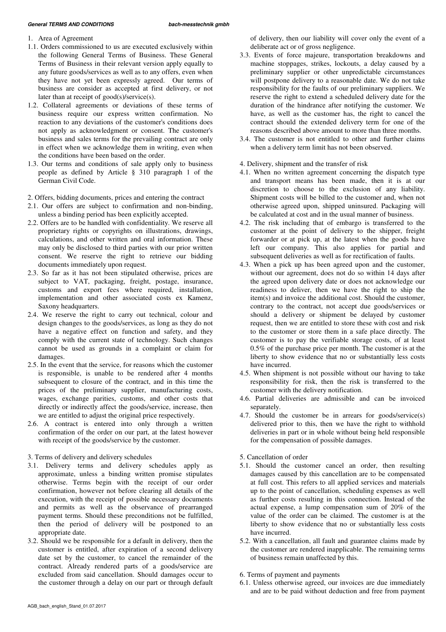## General TERMS AND CONDITIONS **bach-messtechnik gmbh**

- 1. Area of Agreement
- 1.1. Orders commissioned to us are executed exclusively within the following General Terms of Business. These General Terms of Business in their relevant version apply equally to any future goods/services as well as to any offers, even when they have not yet been expressly agreed. Our terms of business are consider as accepted at first delivery, or not later than at receipt of good(s)/service(s).
- 1.2. Collateral agreements or deviations of these terms of business require our express written confirmation. No reaction to any deviations of the customer's conditions does not apply as acknowledgment or consent. The customer's business and sales terms for the prevailing contract are only in effect when we acknowledge them in writing, even when the conditions have been based on the order.
- 1.3. Our terms and conditions of sale apply only to business people as defined by Article § 310 paragraph 1 of the German Civil Code.
- 2. Offers, bidding documents, prices and entering the contract
- 2.1. Our offers are subject to confirmation and non-binding, unless a binding period has been explicitly accepted.
- 2.2. Offers are to be handled with confidentiality. We reserve all proprietary rights or copyrights on illustrations, drawings, calculations, and other written and oral information. These may only be disclosed to third parties with our prior written consent. We reserve the right to retrieve our bidding documents immediately upon request.
- 2.3. So far as it has not been stipulated otherwise, prices are subject to VAT, packaging, freight, postage, insurance, customs and export fees where required, installation, implementation and other associated costs ex Kamenz, Saxony headquarters.
- 2.4. We reserve the right to carry out technical, colour and design changes to the goods/services, as long as they do not have a negative effect on function and safety, and they comply with the current state of technology. Such changes cannot be used as grounds in a complaint or claim for damages.
- 2.5. In the event that the service, for reasons which the customer is responsible, is unable to be rendered after 4 months subsequent to closure of the contract, and in this time the prices of the preliminary supplier, manufacturing costs, wages, exchange parities, customs, and other costs that directly or indirectly affect the goods/service, increase, then we are entitled to adjust the original price respectively.
- 2.6. A contract is entered into only through a written confirmation of the order on our part, at the latest however with receipt of the goods/service by the customer.
- 3. Terms of delivery and delivery schedules
- 3.1. Delivery terms and delivery schedules apply as approximate, unless a binding written promise stipulates otherwise. Terms begin with the receipt of our order confirmation, however not before clearing all details of the execution, with the receipt of possible necessary documents and permits as well as the observance of prearranged payment terms. Should these preconditions not be fulfilled, then the period of delivery will be postponed to an appropriate date.
- 3.2. Should we be responsible for a default in delivery, then the customer is entitled, after expiration of a second delivery date set by the customer, to cancel the remainder of the contract. Already rendered parts of a goods/service are excluded from said cancellation. Should damages occur to the customer through a delay on our part or through default

of delivery, then our liability will cover only the event of a deliberate act or of gross negligence.

- 3.3. Events of force majeure, transportation breakdowns and machine stoppages, strikes, lockouts, a delay caused by a preliminary supplier or other unpredictable circumstances will postpone delivery to a reasonable date. We do not take responsibility for the faults of our preliminary suppliers. We reserve the right to extend a scheduled delivery date for the duration of the hindrance after notifying the customer. We have, as well as the customer has, the right to cancel the contract should the extended delivery term for one of the reasons described above amount to more than three months.
- 3.4. The customer is not entitled to other and further claims when a delivery term limit has not been observed.
- 4. Delivery, shipment and the transfer of risk
- 4.1. When no written agreement concerning the dispatch type and transport means has been made, then it is at our discretion to choose to the exclusion of any liability. Shipment costs will be billed to the customer and, when not otherwise agreed upon, shipped uninsured. Packaging will be calculated at cost and in the usual manner of business.
- 4.2. The risk including that of embargo is transferred to the customer at the point of delivery to the shipper, freight forwarder or at pick up, at the latest when the goods have left our company. This also applies for partial and subsequent deliveries as well as for rectification of faults.
- 4.3. When a pick up has been agreed upon and the customer, without our agreement, does not do so within 14 days after the agreed upon delivery date or does not acknowledge our readiness to deliver, then we have the right to ship the item(s) and invoice the additional cost. Should the customer, contrary to the contract, not accept due goods/services or should a delivery or shipment be delayed by customer request, then we are entitled to store these with cost and risk to the customer or store them in a safe place directly. The customer is to pay the verifiable storage costs, of at least 0.5% of the purchase price per month. The customer is at the liberty to show evidence that no or substantially less costs have incurred.
- 4.5. When shipment is not possible without our having to take responsibility for risk, then the risk is transferred to the customer with the delivery notification.
- 4.6. Partial deliveries are admissible and can be invoiced separately.
- 4.7. Should the customer be in arrears for goods/service(s) delivered prior to this, then we have the right to withhold deliveries in part or in whole without being held responsible for the compensation of possible damages.
- 5. Cancellation of order
- 5.1. Should the customer cancel an order, then resulting damages caused by this cancellation are to be compensated at full cost. This refers to all applied services and materials up to the point of cancellation, scheduling expenses as well as further costs resulting in this connection. Instead of the actual expense, a lump compensation sum of 20% of the value of the order can be claimed. The customer is at the liberty to show evidence that no or substantially less costs have incurred.
- 5.2. With a cancellation, all fault and guarantee claims made by the customer are rendered inapplicable. The remaining terms of business remain unaffected by this.
- 6. Terms of payment and payments
- 6.1. Unless otherwise agreed, our invoices are due immediately and are to be paid without deduction and free from payment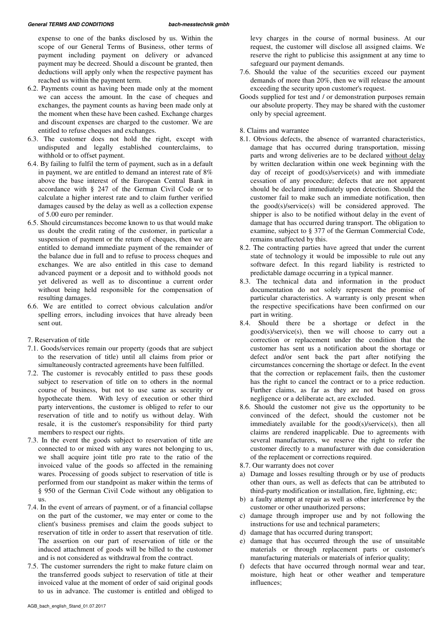expense to one of the banks disclosed by us. Within the scope of our General Terms of Business, other terms of payment including payment on delivery or advanced payment may be decreed. Should a discount be granted, then deductions will apply only when the respective payment has reached us within the payment term.

- 6.2. Payments count as having been made only at the moment we can access the amount. In the case of cheques and exchanges, the payment counts as having been made only at the moment when these have been cashed. Exchange charges and discount expenses are charged to the customer. We are entitled to refuse cheques and exchanges.
- 6.3. The customer does not hold the right, except with undisputed and legally established counterclaims, to withhold or to offset payment.
- 6.4. By failing to fulfil the term of payment, such as in a default in payment, we are entitled to demand an interest rate of 8% above the base interest of the European Central Bank in accordance with § 247 of the German Civil Code or to calculate a higher interest rate and to claim further verified damages caused by the delay as well as a collection expense of 5.00 euro per reminder.
- 6.5. Should circumstances become known to us that would make us doubt the credit rating of the customer, in particular a suspension of payment or the return of cheques, then we are entitled to demand immediate payment of the remainder of the balance due in full and to refuse to process cheques and exchanges. We are also entitled in this case to demand advanced payment or a deposit and to withhold goods not yet delivered as well as to discontinue a current order without being held responsible for the compensation of resulting damages.
- 6.6. We are entitled to correct obvious calculation and/or spelling errors, including invoices that have already been sent out.
- 7. Reservation of title
- 7.1. Goods/services remain our property (goods that are subject to the reservation of title) until all claims from prior or simultaneously contracted agreements have been fulfilled.
- 7.2. The customer is revocably entitled to pass these goods subject to reservation of title on to others in the normal course of business, but not to use same as security or hypothecate them. With levy of execution or other third party interventions, the customer is obliged to refer to our reservation of title and to notify us without delay. With resale, it is the customer's responsibility for third party members to respect our rights.
- 7.3. In the event the goods subject to reservation of title are connected to or mixed with any wares not belonging to us, we shall acquire joint title pro rate to the ratio of the invoiced value of the goods so affected in the remaining wares. Processing of goods subject to reservation of title is performed from our standpoint as maker within the terms of § 950 of the German Civil Code without any obligation to us.
- 7.4. In the event of arrears of payment, or of a financial collapse on the part of the customer, we may enter or come to the client's business premises and claim the goods subject to reservation of title in order to assert that reservation of title. The assertion on our part of reservation of title or the induced attachment of goods will be billed to the customer and is not considered as withdrawal from the contract.
- 7.5. The customer surrenders the right to make future claim on the transferred goods subject to reservation of title at their invoiced value at the moment of order of said original goods to us in advance. The customer is entitled and obliged to

levy charges in the course of normal business. At our request, the customer will disclose all assigned claims. We reserve the right to publicise this assignment at any time to safeguard our payment demands.

- 7.6. Should the value of the securities exceed our payment demands of more than 20%, then we will release the amount exceeding the security upon customer's request.
- Goods supplied for test and / or demonstration purposes remain our absolute property. They may be shared with the customer only by special agreement.

8. Claims and warrantee

- 8.1. Obvious defects, the absence of warranted characteristics, damage that has occurred during transportation, missing parts and wrong deliveries are to be declared without delay by written declaration within one week beginning with the day of receipt of good(s)/service(s) and with immediate cessation of any procedure; defects that are not apparent should be declared immediately upon detection. Should the customer fail to make such an immediate notification, then the good(s)/service(s) will be considered approved. The shipper is also to be notified without delay in the event of damage that has occurred during transport. The obligation to examine, subject to § 377 of the German Commercial Code, remains unaffected by this.
- 8.2. The contracting parties have agreed that under the current state of technology it would be impossible to rule out any software defect. In this regard liability is restricted to predictable damage occurring in a typical manner.
- 8.3. The technical data and information in the product documentation do not solely represent the promise of particular characteristics. A warranty is only present when the respective specifications have been confirmed on our part in writing.
- 8.4. Should there be a shortage or defect in the good(s)/service(s), then we will choose to carry out a correction or replacement under the condition that the customer has sent us a notification about the shortage or defect and/or sent back the part after notifying the circumstances concerning the shortage or defect. In the event that the correction or replacement fails, then the customer has the right to cancel the contract or to a price reduction. Further claims, as far as they are not based on gross negligence or a deliberate act, are excluded.
- 8.6. Should the customer not give us the opportunity to be convinced of the defect, should the customer not be immediately available for the good(s)/service(s), then all claims are rendered inapplicable. Due to agreements with several manufacturers, we reserve the right to refer the customer directly to a manufacturer with due consideration of the replacement or corrections required.
- 8.7. Our warranty does not cover
- a) Damage and losses resulting through or by use of products other than ours, as well as defects that can be attributed to third-party modification or installation, fire, lightning, etc;
- b) a faulty attempt at repair as well as other interference by the customer or other unauthorized persons;
- c) damage through improper use and by not following the instructions for use and technical parameters;
- d) damage that has occurred during transport;
- e) damage that has occurred through the use of unsuitable materials or through replacement parts or customer's manufacturing materials or materials of inferior quality;
- f) defects that have occurred through normal wear and tear, moisture, high heat or other weather and temperature influences;